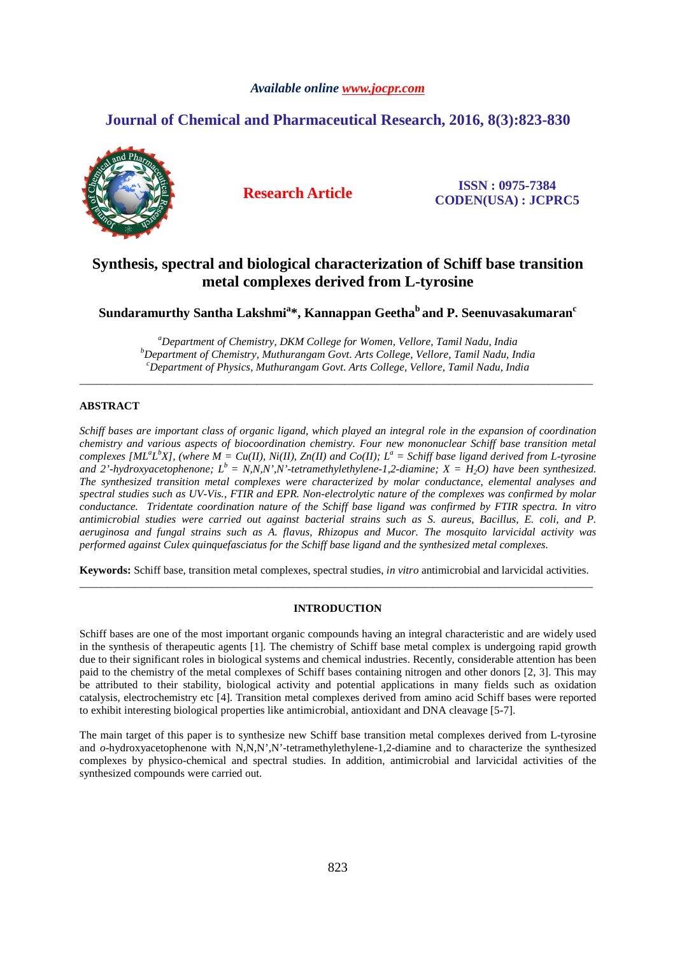# *Available online www.jocpr.com*

# **Journal of Chemical and Pharmaceutical Research, 2016, 8(3):823-830**



**Research Article ISSN : 0975-7384 CODEN(USA) : JCPRC5**

# **Synthesis, spectral and biological characterization of Schiff base transition metal complexes derived from L-tyrosine**

**Sundaramurthy Santha Lakshmi<sup>a</sup> \*, Kannappan Geetha<sup>b</sup>and P. Seenuvasakumaran<sup>c</sup>**

*<sup>a</sup>Department of Chemistry, DKM College for Women, Vellore, Tamil Nadu, India <sup>b</sup>Department of Chemistry, Muthurangam Govt. Arts College, Vellore, Tamil Nadu, India <sup>c</sup>Department of Physics, Muthurangam Govt. Arts College, Vellore, Tamil Nadu, India* 

\_\_\_\_\_\_\_\_\_\_\_\_\_\_\_\_\_\_\_\_\_\_\_\_\_\_\_\_\_\_\_\_\_\_\_\_\_\_\_\_\_\_\_\_\_\_\_\_\_\_\_\_\_\_\_\_\_\_\_\_\_\_\_\_\_\_\_\_\_\_\_\_\_\_\_\_\_\_\_\_\_\_\_\_\_\_\_\_\_\_\_\_\_

# **ABSTRACT**

*Schiff bases are important class of organic ligand, which played an integral role in the expansion of coordination chemistry and various aspects of biocoordination chemistry. Four new mononuclear Schiff base transition metal complexes [ML<sup>a</sup>L<sup>b</sup>X], (where*  $M = Cu(H)$ *, Ni(II), Zn(II) and Co(II); L<sup>a</sup> = Schiff base ligand derived from L-tyrosine and 2'-hydroxyacetophenone; L<sup>b</sup>= N,N,N',N'-tetramethylethylene-1,2-diamine; X = H2O) have been synthesized. The synthesized transition metal complexes were characterized by molar conductance, elemental analyses and spectral studies such as UV-Vis., FTIR and EPR. Non-electrolytic nature of the complexes was confirmed by molar conductance. Tridentate coordination nature of the Schiff base ligand was confirmed by FTIR spectra. In vitro antimicrobial studies were carried out against bacterial strains such as S. aureus, Bacillus, E. coli, and P. aeruginosa and fungal strains such as A. flavus, Rhizopus and Mucor. The mosquito larvicidal activity was performed against Culex quinquefasciatus for the Schiff base ligand and the synthesized metal complexes.* 

**Keywords:** Schiff base, transition metal complexes, spectral studies, *in vitro* antimicrobial and larvicidal activities. \_\_\_\_\_\_\_\_\_\_\_\_\_\_\_\_\_\_\_\_\_\_\_\_\_\_\_\_\_\_\_\_\_\_\_\_\_\_\_\_\_\_\_\_\_\_\_\_\_\_\_\_\_\_\_\_\_\_\_\_\_\_\_\_\_\_\_\_\_\_\_\_\_\_\_\_\_\_\_\_\_\_\_\_\_\_\_\_\_\_\_\_\_

# **INTRODUCTION**

Schiff bases are one of the most important organic compounds having an integral characteristic and are widely used in the synthesis of therapeutic agents [1]. The chemistry of Schiff base metal complex is undergoing rapid growth due to their significant roles in biological systems and chemical industries. Recently, considerable attention has been paid to the chemistry of the metal complexes of Schiff bases containing nitrogen and other donors [2, 3]. This may be attributed to their stability, biological activity and potential applications in many fields such as oxidation catalysis, electrochemistry etc [4]. Transition metal complexes derived from amino acid Schiff bases were reported to exhibit interesting biological properties like antimicrobial, antioxidant and DNA cleavage [5-7].

The main target of this paper is to synthesize new Schiff base transition metal complexes derived from L-tyrosine and  $o$ -hydroxyacetophenone with N,N,N',N'-tetramethylethylene-1,2-diamine and to characterize the synthesized complexes by physico-chemical and spectral studies. In addition, antimicrobial and larvicidal activities of the synthesized compounds were carried out.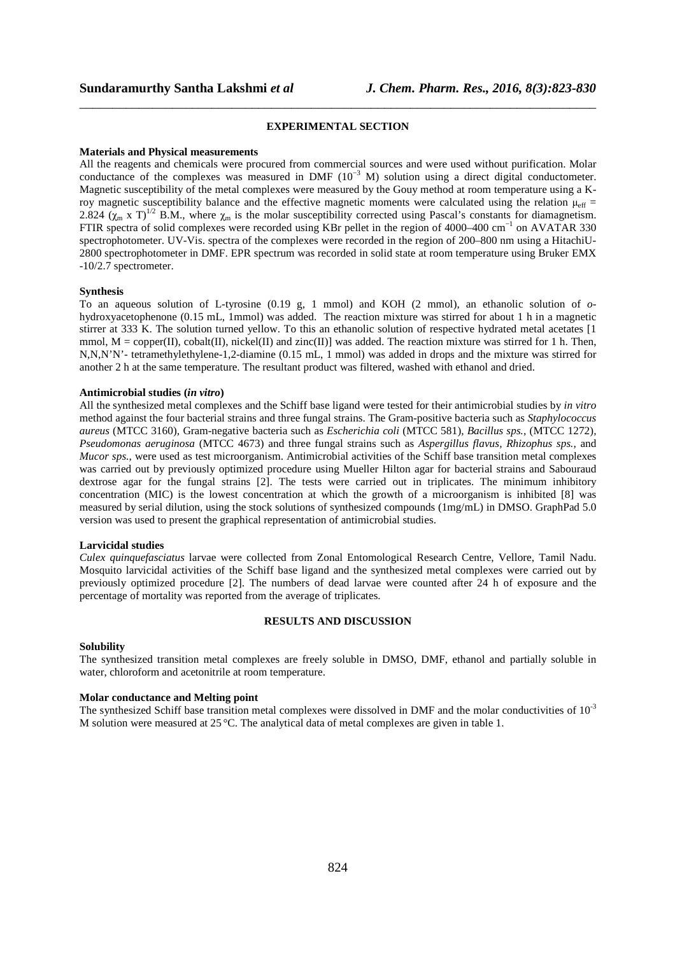# **EXPERIMENTAL SECTION**

\_\_\_\_\_\_\_\_\_\_\_\_\_\_\_\_\_\_\_\_\_\_\_\_\_\_\_\_\_\_\_\_\_\_\_\_\_\_\_\_\_\_\_\_\_\_\_\_\_\_\_\_\_\_\_\_\_\_\_\_\_\_\_\_\_\_\_\_\_\_\_\_\_\_\_\_\_\_

#### **Materials and Physical measurements**

All the reagents and chemicals were procured from commercial sources and were used without purification. Molar conductance of the complexes was measured in DMF  $(10^{-3}$  M) solution using a direct digital conductometer. Magnetic susceptibility of the metal complexes were measured by the Gouy method at room temperature using a Kroy magnetic susceptibility balance and the effective magnetic moments were calculated using the relation  $\mu_{eff}$  = 2.824 ( $\chi_m$  x T)<sup>1/2</sup> B.M., where  $\chi_m$  is the molar susceptibility corrected using Pascal's constants for diamagnetism. FTIR spectra of solid complexes were recorded using KBr pellet in the region of 4000–400 cm−1 on AVATAR 330 spectrophotometer. UV-Vis. spectra of the complexes were recorded in the region of 200–800 nm using a HitachiU-2800 spectrophotometer in DMF. EPR spectrum was recorded in solid state at room temperature using Bruker EMX -10/2.7 spectrometer.

#### **Synthesis**

To an aqueous solution of L-tyrosine (0.19 g, 1 mmol) and KOH (2 mmol), an ethanolic solution of *o*hydroxyacetophenone (0.15 mL, 1mmol) was added. The reaction mixture was stirred for about 1 h in a magnetic stirrer at 333 K. The solution turned yellow. To this an ethanolic solution of respective hydrated metal acetates [1 mmol,  $M = \text{copper(II)}$ ,  $\text{cobalt(II)}$ ,  $\text{nickel(II)}$  and  $\text{zinc(II)}$ ] was added. The reaction mixture was stirred for 1 h. Then, N,N,N'N'- tetramethylethylene-1,2-diamine (0.15 mL, 1 mmol) was added in drops and the mixture was stirred for another 2 h at the same temperature. The resultant product was filtered, washed with ethanol and dried.

## **Antimicrobial studies (***in vitro***)**

All the synthesized metal complexes and the Schiff base ligand were tested for their antimicrobial studies by *in vitro*  method against the four bacterial strains and three fungal strains. The Gram-positive bacteria such as *Staphylococcus aureus* (MTCC 3160)*,* Gram-negative bacteria such as *Escherichia coli* (MTCC 581)*, Bacillus sps.,* (MTCC 1272)*, Pseudomonas aeruginosa* (MTCC 4673) and three fungal strains such as *Aspergillus flavus, Rhizophus sps.,* and *Mucor sps.,* were used as test microorganism. Antimicrobial activities of the Schiff base transition metal complexes was carried out by previously optimized procedure using Mueller Hilton agar for bacterial strains and Sabouraud dextrose agar for the fungal strains [2]. The tests were carried out in triplicates. The minimum inhibitory concentration (MIC) is the lowest concentration at which the growth of a microorganism is inhibited [8] was measured by serial dilution, using the stock solutions of synthesized compounds (1mg/mL) in DMSO. GraphPad 5.0 version was used to present the graphical representation of antimicrobial studies.

## **Larvicidal studies**

*Culex quinquefasciatus* larvae were collected from Zonal Entomological Research Centre, Vellore, Tamil Nadu. Mosquito larvicidal activities of the Schiff base ligand and the synthesized metal complexes were carried out by previously optimized procedure [2]. The numbers of dead larvae were counted after 24 h of exposure and the percentage of mortality was reported from the average of triplicates.

#### **RESULTS AND DISCUSSION**

### **Solubility**

The synthesized transition metal complexes are freely soluble in DMSO, DMF, ethanol and partially soluble in water, chloroform and acetonitrile at room temperature.

#### **Molar conductance and Melting point**

The synthesized Schiff base transition metal complexes were dissolved in DMF and the molar conductivities of  $10^{-3}$ M solution were measured at 25 °C. The analytical data of metal complexes are given in table 1.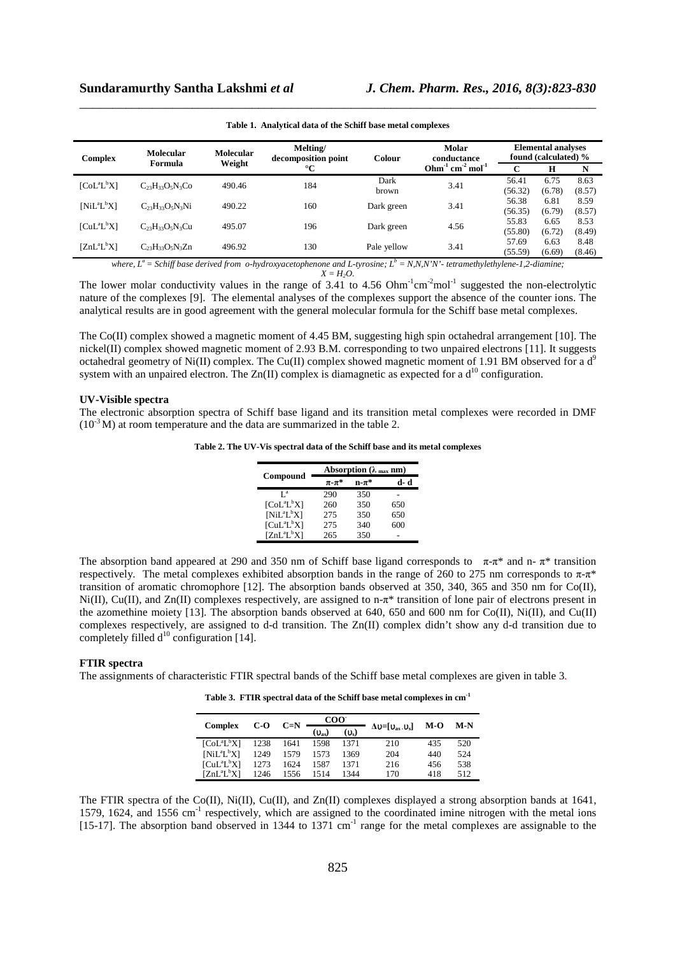| <b>Complex</b>    | <b>Molecular</b>       | <b>Molecular</b> | Melting/<br>decomposition point | Colour        | <b>Molar</b><br>conductance | <b>Elemental analyses</b><br>found (calculated) % |                |                |
|-------------------|------------------------|------------------|---------------------------------|---------------|-----------------------------|---------------------------------------------------|----------------|----------------|
|                   | Weight<br>Formula      |                  | $^{\circ}C$                     |               |                             | C                                                 | H              | N              |
| $[CoL^{a}L^{b}X]$ | $C_{23}H_{33}O_5N_3Co$ | 490.46           | 184                             | Dark<br>brown | 3.41                        | 56.41<br>(56.32)                                  | 6.75<br>(6.78) | 8.63<br>(8.57) |
| $[NiL^{a}L^{b}X]$ | $C_{23}H_{33}O_5N_3Ni$ | 490.22           | 160                             | Dark green    | 3.41                        | 56.38<br>(56.35)                                  | 6.81<br>(6.79) | 8.59<br>(8.57) |
| $[CuL^{a}L^{b}X]$ | $C_{23}H_{33}O_5N_3Cu$ | 495.07           | 196                             | Dark green    | 4.56                        | 55.83<br>(55.80)                                  | 6.65<br>(6.72) | 8.53<br>(8.49) |
| $[ZnL^aL^bX]$     | $C_{23}H_{33}O_5N_3Zn$ | 496.92           | 130                             | Pale yellow   | 3.41                        | 57.69<br>(55.59)                                  | 6.63<br>(6.69) | 8.48<br>(8.46) |

\_\_\_\_\_\_\_\_\_\_\_\_\_\_\_\_\_\_\_\_\_\_\_\_\_\_\_\_\_\_\_\_\_\_\_\_\_\_\_\_\_\_\_\_\_\_\_\_\_\_\_\_\_\_\_\_\_\_\_\_\_\_\_\_\_\_\_\_\_\_\_\_\_\_\_\_\_\_ **Table 1. Analytical data of the Schiff base metal complexes** 

*where, L<sup>a</sup>= Schiff base derived from o-hydroxyacetophenone and L-tyrosine; L<sup>b</sup> = N,N,N'N'- tetramethylethylene-1,2-diamine;*   $X = H_2O$ .

The lower molar conductivity values in the range of 3.41 to  $4.56$  Ohm<sup>-1</sup>cm<sup>-2</sup>mol<sup>-1</sup> suggested the non-electrolytic nature of the complexes [9]. The elemental analyses of the complexes support the absence of the counter ions. The analytical results are in good agreement with the general molecular formula for the Schiff base metal complexes.

The Co(II) complex showed a magnetic moment of 4.45 BM, suggesting high spin octahedral arrangement [10]. The nickel(II) complex showed magnetic moment of 2.93 B.M. corresponding to two unpaired electrons [11]. It suggests octahedral geometry of Ni(II) complex. The Cu(II) complex showed magnetic moment of 1.91 BM observed for a  $d^9$ system with an unpaired electron. The  $Zn(II)$  complex is diamagnetic as expected for a  $d^{10}$  configuration.

#### **UV-Visible spectra**

The electronic absorption spectra of Schiff base ligand and its transition metal complexes were recorded in DMF  $(10^{-3}$  M) at room temperature and the data are summarized in the table 2.

**Table 2. The UV-Vis spectral data of the Schiff base and its metal complexes** 

|                   | Absorption ( $\lambda_{max}$ nm) |                        |      |  |  |  |
|-------------------|----------------------------------|------------------------|------|--|--|--|
| Compound          | $\pi$ - $\pi^*$                  | $\mathbf{n}$ - $\pi^*$ | d- d |  |  |  |
| $I^a$             | 290                              | 350                    |      |  |  |  |
| $[CoL^{a}L^{b}X]$ | 260                              | 350                    | 650  |  |  |  |
| $[NiL^{a}L^{b}X]$ | 275                              | 350                    | 650  |  |  |  |
| $[CuL^{a}L^{b}X]$ | 275                              | 340                    | 600  |  |  |  |
| $[ZnL^aL^bX]$     | 265                              | 350                    |      |  |  |  |

The absorption band appeared at 290 and 350 nm of Schiff base ligand corresponds to  $\pi$ -π\* and n- $\pi$ \* transition respectively. The metal complexes exhibited absorption bands in the range of 260 to 275 nm corresponds to  $\pi$ - $\pi$ \* transition of aromatic chromophore [12]. The absorption bands observed at 350, 340, 365 and 350 nm for Co(II), Ni(II), Cu(II), and Zn(II) complexes respectively, are assigned to n-π\* transition of lone pair of electrons present in the azomethine moiety [13]. The absorption bands observed at 640, 650 and 600 nm for  $Co(II)$ , Ni(II), and  $Cu(II)$ complexes respectively, are assigned to d-d transition. The Zn(II) complex didn't show any d-d transition due to completely filled  $d^{10}$  configuration [14].

## **FTIR spectra**

The assignments of characteristic FTIR spectral bands of the Schiff base metal complexes are given in table 3.

**Table 3. FTIR spectral data of the Schiff base metal complexes in cm-1** 

|                   |      | $C=N$ | COO <sup>-</sup> |         |                                                             |       | M-N |  |
|-------------------|------|-------|------------------|---------|-------------------------------------------------------------|-------|-----|--|
| <b>Complex</b>    | C-O  |       | $(v_{\rm as})$   | $(v_s)$ | $\Delta v = [\mathbf{v}_{\rm as} \cdot \mathbf{v}_{\rm s}]$ | $M-O$ |     |  |
| $[CoL^{a}L^{b}X]$ | 1238 | 1641  | 1598             | 1371    | 210                                                         | 435   | 520 |  |
| $[NiL^{a}L^{b}X]$ | 1249 | 1579  | 1573             | 1369    | 204                                                         | 440   | 524 |  |
| $ICuL^aL^bX$      | 1273 | 1624  | 1587             | 1371    | 216                                                         | 456   | 538 |  |
| $[ZnL^aL^bX]$     | 1246 | 1556  | 1514             | 1344    | 170                                                         | 418   | 512 |  |

The FTIR spectra of the Co(II), Ni(II), Cu(II), and Zn(II) complexes displayed a strong absorption bands at 1641, 1579, 1624, and 1556 cm<sup>-1</sup> respectively, which are assigned to the coordinated imine nitrogen with the metal ions [15-17]. The absorption band observed in 1344 to 1371 cm<sup>-1</sup> range for the metal complexes are assignable to the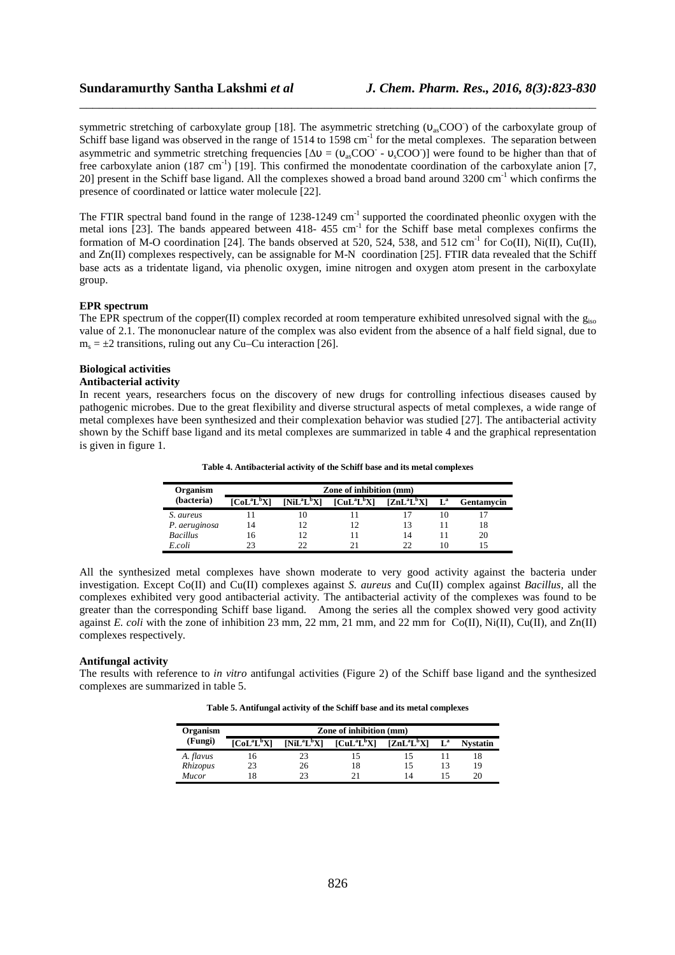# **Sundaramurthy Santha Lakshmi** *et al**J. Chem. Pharm. Res., 2016, 8(3):823-830*

symmetric stretching of carboxylate group [18]. The asymmetric stretching (υ<sub>as</sub>COO) of the carboxylate group of Schiff base ligand was observed in the range of 1514 to 1598 cm<sup>-1</sup> for the metal complexes. The separation between asymmetric and symmetric stretching frequencies  $[\Delta v = (v_{as}COO^- - v_sCOO^-)]$  were found to be higher than that of free carboxylate anion  $(187 \text{ cm}^{-1})$  [19]. This confirmed the monodentate coordination of the carboxylate anion [7, 20] present in the Schiff base ligand. All the complexes showed a broad band around  $3200 \text{ cm}^{-1}$  which confirms the presence of coordinated or lattice water molecule [22].

\_\_\_\_\_\_\_\_\_\_\_\_\_\_\_\_\_\_\_\_\_\_\_\_\_\_\_\_\_\_\_\_\_\_\_\_\_\_\_\_\_\_\_\_\_\_\_\_\_\_\_\_\_\_\_\_\_\_\_\_\_\_\_\_\_\_\_\_\_\_\_\_\_\_\_\_\_\_

The FTIR spectral band found in the range of  $1238-1249$  cm<sup>-1</sup> supported the coordinated pheonlic oxygen with the metal ions  $[23]$ . The bands appeared between 418- 455 cm<sup>-1</sup> for the Schiff base metal complexes confirms the formation of M-O coordination [24]. The bands observed at 520, 524, 538, and 512 cm<sup>-1</sup> for Co(II), Ni(II), Cu(II), and Zn(II) complexes respectively, can be assignable for M-N coordination [25]. FTIR data revealed that the Schiff base acts as a tridentate ligand, via phenolic oxygen, imine nitrogen and oxygen atom present in the carboxylate group.

### **EPR spectrum**

The EPR spectrum of the copper(II) complex recorded at room temperature exhibited unresolved signal with the  $g_{iso}$ value of 2.1. The mononuclear nature of the complex was also evident from the absence of a half field signal, due to  $m_s = \pm 2$  transitions, ruling out any Cu–Cu interaction [26].

## **Biological activities**

#### **Antibacterial activity**

In recent years, researchers focus on the discovery of new drugs for controlling infectious diseases caused by pathogenic microbes. Due to the great flexibility and diverse structural aspects of metal complexes, a wide range of metal complexes have been synthesized and their complexation behavior was studied [27]. The antibacterial activity shown by the Schiff base ligand and its metal complexes are summarized in table 4 and the graphical representation is given in figure 1.

| Organism        | Zone of inhibition (mm) |               |                   |               |       |            |  |  |
|-----------------|-------------------------|---------------|-------------------|---------------|-------|------------|--|--|
| (bacteria)      | $[CoL^{a}L^{b}X]$       | $[NiL^aL^bX]$ | $[CuL^{a}L^{b}X]$ | $[ZnL^aL^bX]$ | $L^a$ | Gentamycin |  |  |
| S. aureus       |                         | Ю             |                   |               |       |            |  |  |
| P. aeruginosa   | 14                      |               |                   | 13            |       | 18         |  |  |
| <b>Bacillus</b> |                         |               |                   | 14            |       | 20         |  |  |
| E.coli          |                         |               |                   | フフ            | 10    |            |  |  |

All the synthesized metal complexes have shown moderate to very good activity against the bacteria under investigation. Except Co(II) and Cu(II) complexes against *S. aureus* and Cu(II) complex against *Bacillus,* all the complexes exhibited very good antibacterial activity. The antibacterial activity of the complexes was found to be greater than the corresponding Schiff base ligand. Among the series all the complex showed very good activity against *E. coli* with the zone of inhibition 23 mm, 22 mm, 21 mm, and 22 mm for Co(II), Ni(II), Cu(II), and Zn(II) complexes respectively.

#### **Antifungal activity**

The results with reference to *in vitro* antifungal activities (Figure 2) of the Schiff base ligand and the synthesized complexes are summarized in table 5.

**Table 5. Antifungal activity of the Schiff base and its metal complexes** 

| Organism  |                   |               | Zone of inhibition (mm) |               |       |                 |
|-----------|-------------------|---------------|-------------------------|---------------|-------|-----------------|
| (Fungi)   | $[CoL^{a}L^{b}X]$ | $[NiL^aL^bX]$ | $[CuL^{a}L^{b}X]$       | $[ZnL^aL^bX]$ | $L^a$ | <b>Nvstatin</b> |
| A. flavus | 16                | 23            |                         |               |       |                 |
| Rhizopus  | 23                | 26            | 18                      |               | 13    | 19              |
| Mucor     | 18                | つつ            |                         | 14            |       | 20              |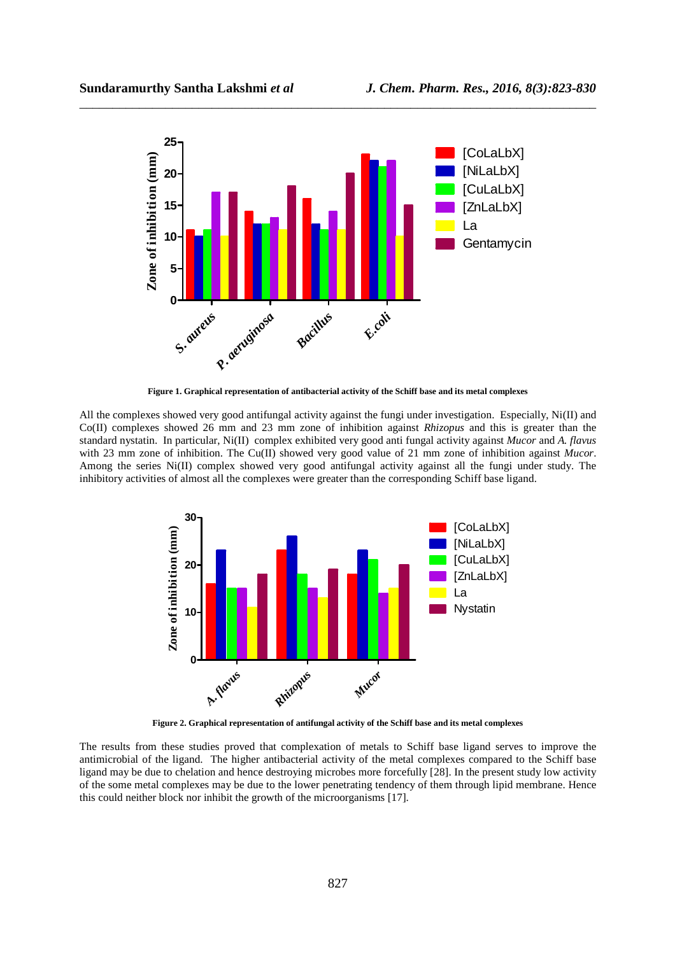

\_\_\_\_\_\_\_\_\_\_\_\_\_\_\_\_\_\_\_\_\_\_\_\_\_\_\_\_\_\_\_\_\_\_\_\_\_\_\_\_\_\_\_\_\_\_\_\_\_\_\_\_\_\_\_\_\_\_\_\_\_\_\_\_\_\_\_\_\_\_\_\_\_\_\_\_\_\_

**Figure 1. Graphical representation of antibacterial activity of the Schiff base and its metal complexes** 

All the complexes showed very good antifungal activity against the fungi under investigation. Especially, Ni(II) and Co(II) complexes showed 26 mm and 23 mm zone of inhibition against *Rhizopus* and this is greater than the standard nystatin. In particular, Ni(II) complex exhibited very good anti fungal activity against *Mucor* and *A. flavus* with 23 mm zone of inhibition. The Cu(II) showed very good value of 21 mm zone of inhibition against *Mucor*. Among the series Ni(II) complex showed very good antifungal activity against all the fungi under study. The inhibitory activities of almost all the complexes were greater than the corresponding Schiff base ligand.



 **Figure 2. Graphical representation of antifungal activity of the Schiff base and its metal complexes** 

The results from these studies proved that complexation of metals to Schiff base ligand serves to improve the antimicrobial of the ligand. The higher antibacterial activity of the metal complexes compared to the Schiff base ligand may be due to chelation and hence destroying microbes more forcefully [28]. In the present study low activity of the some metal complexes may be due to the lower penetrating tendency of them through lipid membrane. Hence this could neither block nor inhibit the growth of the microorganisms [17].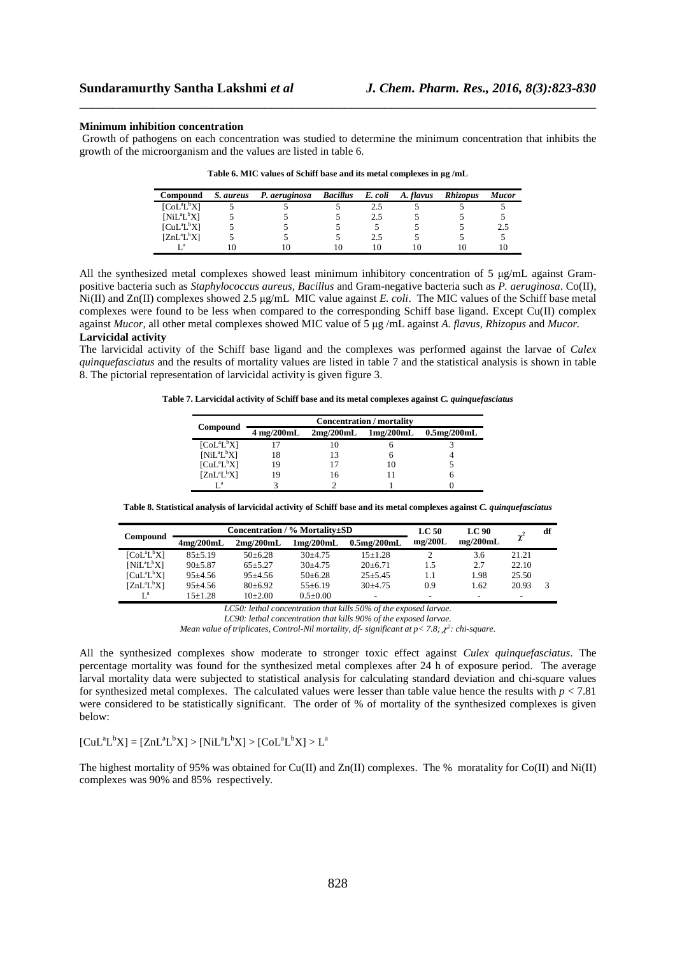#### **Minimum inhibition concentration**

Growth of pathogens on each concentration was studied to determine the minimum concentration that inhibits the growth of the microorganism and the values are listed in table 6.

\_\_\_\_\_\_\_\_\_\_\_\_\_\_\_\_\_\_\_\_\_\_\_\_\_\_\_\_\_\_\_\_\_\_\_\_\_\_\_\_\_\_\_\_\_\_\_\_\_\_\_\_\_\_\_\_\_\_\_\_\_\_\_\_\_\_\_\_\_\_\_\_\_\_\_\_\_\_

| Compound          | S. aureus | P. aeruginosa | <b>Bacillus</b> | E. coli | A. flavus | <b>Rhizopus</b> | <b>Mucor</b> |
|-------------------|-----------|---------------|-----------------|---------|-----------|-----------------|--------------|
| $[CoL^{a}L^{b}X]$ |           |               |                 |         |           |                 |              |
| $[NiL^{a}L^{b}X]$ |           |               |                 |         |           |                 |              |
| $[CuL^{a}L^{b}X]$ |           |               |                 |         |           |                 |              |
| $[ZnL^aL^bX]$     |           |               |                 |         |           |                 |              |
|                   |           |               |                 |         |           |                 |              |

Table 6. MIC values of Schiff base and its metal complexes in  $\mu$ g /mL

All the synthesized metal complexes showed least minimum inhibitory concentration of  $5 \mu g/mL$  against Grampositive bacteria such as *Staphylococcus aureus, Bacillus* and Gram-negative bacteria such as *P. aeruginosa*. Co(II), Ni(II) and Zn(II) complexes showed 2.5 µg/mL MIC value against *E. coli*. The MIC values of the Schiff base metal complexes were found to be less when compared to the corresponding Schiff base ligand. Except Cu(II) complex against *Mucor*, all other metal complexes showed MIC value of 5 µg /mL against *A. flavus, Rhizopus* and *Mucor*. **Larvicidal activity** 

The larvicidal activity of the Schiff base ligand and the complexes was performed against the larvae of *Culex quinquefasciatus* and the results of mortality values are listed in table 7 and the statistical analysis is shown in table 8. The pictorial representation of larvicidal activity is given figure 3.

**Table 7. Larvicidal activity of Schiff base and its metal complexes against** *C. quinquefasciatus* 

|                   | <b>Concentration</b> / mortality |           |           |                |  |  |  |
|-------------------|----------------------------------|-----------|-----------|----------------|--|--|--|
| Compound          | 4 mg/200mL                       | 2mg/200mL | 1mg/200mL | $0.5$ mg/200mL |  |  |  |
| $[CoL^{a}L^{b}X]$ |                                  |           |           |                |  |  |  |
| $[NiL^{a}L^{b}X]$ | 18                               | 13        |           |                |  |  |  |
| $[CuL^{a}L^{b}X]$ | 19                               |           | 10        |                |  |  |  |
| $[ZnL^aL^bX]$     | 19                               | 16        |           |                |  |  |  |
| та                |                                  |           |           |                |  |  |  |

**Table 8. Statistical analysis of larvicidal activity of Schiff base and its metal complexes against** *C. quinquefasciatus* 

| Compound          |                             | Concentration / % Mortalitv±SD |                             |                | LC 90<br>LC <sub>50</sub> |          |       | df |
|-------------------|-----------------------------|--------------------------------|-----------------------------|----------------|---------------------------|----------|-------|----|
|                   | $4 \text{mg}/200 \text{mL}$ | $2\text{mg}/200\text{mL}$      | $1 \text{mg}/200 \text{mL}$ | $0.5$ mg/200mL | mg/200L                   | mg/200mL |       |    |
| $[CoL^{a}L^{b}X]$ | $85 + 5.19$                 | $50+6.28$                      | $30+4.75$                   | $15+1.28$      |                           | 3.6      | 21.21 |    |
| $[NiL^aL^bX]$     | $90 \pm 5.87$               | $65 + 5.27$                    | $30+4.75$                   | $20+6.71$      | 1.5                       | 2.7      | 22.10 |    |
| $[CuL^{a}L^{b}X]$ | $95+4.56$                   | $95+4.56$                      | $50\pm 6.28$                | $25 + 5.45$    | 1.1                       | 1.98     | 25.50 |    |
| $[ZnL^aL^bX]$     | $95 + 4.56$                 | $80+6.92$                      | $55+6.19$                   | $30+4.75$      | 0.9                       | 1.62     | 20.93 |    |
|                   | $15+1.28$                   | $10+2.00$                      | $0.5+0.00$                  |                |                           |          | -     |    |

*LC50: lethal concentration that kills 50% of the exposed larvae.* 

Mean value of triplicates, Control-Nil mortality, df- significant at  $p < 7.8$ ;  $\chi^2$ : chi-square.

All the synthesized complexes show moderate to stronger toxic effect against *Culex quinquefasciatus*. The percentage mortality was found for the synthesized metal complexes after 24 h of exposure period. The average larval mortality data were subjected to statistical analysis for calculating standard deviation and chi-square values for synthesized metal complexes. The calculated values were lesser than table value hence the results with  $p < 7.81$ were considered to be statistically significant. The order of % of mortality of the synthesized complexes is given below:

 $[CuL^{a}L^{b}X] = [ZnL^{a}L^{b}X] > [NiL^{a}L^{b}X] > [CoL^{a}L^{b}X] > L^{a}$ 

The highest mortality of 95% was obtained for  $Cu(II)$  and  $Zn(II)$  complexes. The % moratality for  $Co(II)$  and  $Ni(II)$ complexes was 90% and 85% respectively.

*LC90: lethal concentration that kills 90% of the exposed larvae.*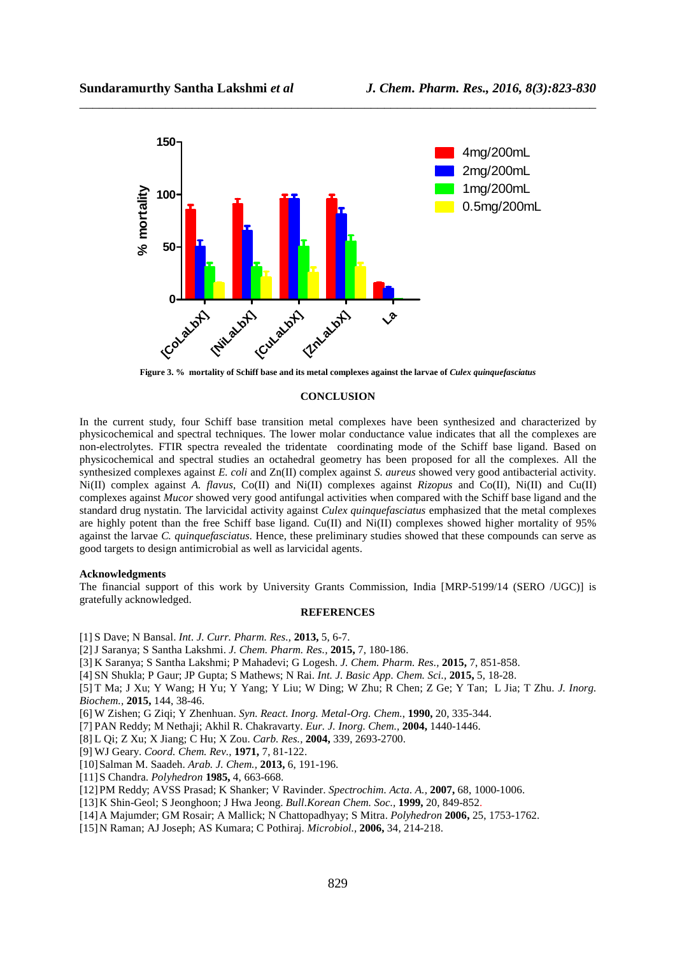

\_\_\_\_\_\_\_\_\_\_\_\_\_\_\_\_\_\_\_\_\_\_\_\_\_\_\_\_\_\_\_\_\_\_\_\_\_\_\_\_\_\_\_\_\_\_\_\_\_\_\_\_\_\_\_\_\_\_\_\_\_\_\_\_\_\_\_\_\_\_\_\_\_\_\_\_\_\_

**Figure 3. % mortality of Schiff base and its metal complexes against the larvae of** *Culex quinquefasciatus* 

#### **CONCLUSION**

In the current study, four Schiff base transition metal complexes have been synthesized and characterized by physicochemical and spectral techniques. The lower molar conductance value indicates that all the complexes are non-electrolytes. FTIR spectra revealed the tridentate coordinating mode of the Schiff base ligand. Based on physicochemical and spectral studies an octahedral geometry has been proposed for all the complexes. All the synthesized complexes against *E. coli* and Zn(II) complex against *S. aureus* showed very good antibacterial activity. Ni(II) complex against *A. flavus*, Co(II) and Ni(II) complexes against *Rizopus* and Co(II), Ni(II) and Cu(II) complexes against *Mucor* showed very good antifungal activities when compared with the Schiff base ligand and the standard drug nystatin. The larvicidal activity against *Culex quinquefasciatus* emphasized that the metal complexes are highly potent than the free Schiff base ligand. Cu(II) and Ni(II) complexes showed higher mortality of 95% against the larvae *C. quinquefasciatus.* Hence, these preliminary studies showed that these compounds can serve as good targets to design antimicrobial as well as larvicidal agents.

#### **Acknowledgments**

The financial support of this work by University Grants Commission, India [MRP-5199/14 (SERO /UGC)] is gratefully acknowledged.

#### **REFERENCES**

[1] S Dave; N Bansal. *Int. J. Curr. Pharm. Res.,* **2013,** 5, 6-7.

- [2]J Saranya; S Santha Lakshmi. *J. Chem. Pharm. Res.,* **2015,** 7, 180-186.
- [3] K Saranya; S Santha Lakshmi; P Mahadevi; G Logesh. *J. Chem. Pharm. Res.,* **2015,** 7, 851-858.
- [4] SN Shukla; P Gaur; JP Gupta; S Mathews; N Rai. *Int. J. Basic App. Chem. Sci.,* **2015,** 5, 18-28.

[5] T Ma; J Xu; Y Wang; H Yu; Y Yang; Y Liu; W Ding; W Zhu; R Chen; Z Ge; Y Tan; L Jia; T Zhu. *J. Inorg. Biochem.,* **2015,** 144, 38-46.

- [6] W Zishen; G Ziqi; Y Zhenhuan. *Syn. React. Inorg. Metal-Org. Chem.*, **1990,** 20, 335-344.
- [7] PAN Reddy; M Nethaji; Akhil R. Chakravarty. *Eur. J. Inorg. Chem.,* **2004,** 1440-1446.
- [8] L Qi; Z Xu; X Jiang; C Hu; X Zou. *Carb. Res.,* **2004,** 339, 2693-2700.
- [9] WJ Geary. *Coord. Chem. Rev.,* **1971,** 7, 81-122.
- [10]Salman M. Saadeh. *Arab. J. Chem.,* **2013,** 6, 191-196.
- [11]S Chandra. *Polyhedron* **1985,** 4, 663-668.
- [12]PM Reddy; AVSS Prasad; K Shanker; V Ravinder. *Spectrochim. Acta. A.,* **2007,** 68, 1000-1006.
- [13]K Shin-Geol; S Jeonghoon; J Hwa Jeong. *Bull.Korean Chem. Soc.,* **1999,** 20, 849-852.
- [14]A Majumder; GM Rosair; A Mallick; N Chattopadhyay; S Mitra. *Polyhedron* **2006,** 25, 1753-1762.
- [15]N Raman; AJ Joseph; AS Kumara; C Pothiraj. *Microbiol.,* **2006,** 34, 214-218.